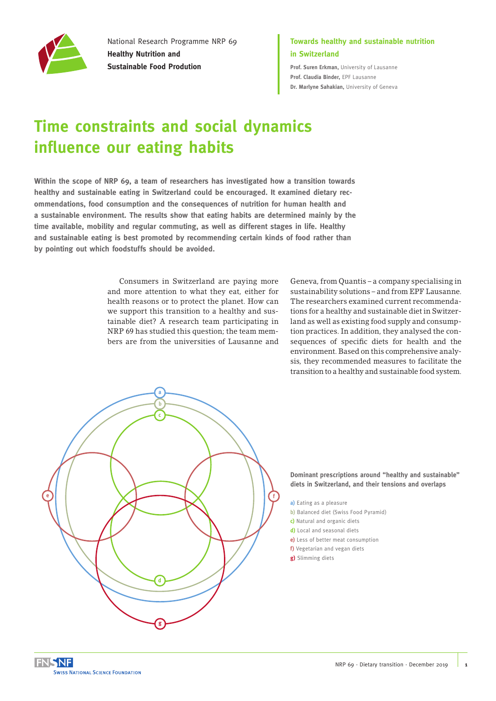

National Research Programme NRP 69 **Healthy Nutrition and Sustainable Food Prodution**

### **Towards healthy and sustainable nutrition in Switzerland**

**Prof. Suren Erkman,** [University of Lausanne](http://www.unil.ch/idyst/home.html) **[Prof. Claudia Binder,](https://www.epfl.ch/labs/herus/)** EPF Lausanne **[Dr. Marlyne Sahakian,](https://www.unige.ch/sciences-societe/socio/fr/bienvenue/)** University of Geneva

# **Time constraints and social dynamics influence our eating habits**

**Within the scope of NRP 69, a team of researchers has investigated how a transition towards healthy and sustainable eating in Switzerland could be encouraged. It examined dietary recommendations, food consumption and the consequences of nutrition for human health and a sustainable environment. The results show that eating habits are determined mainly by the time available, mobility and regular commuting, as well as different stages in life. Healthy and sustainable eating is best promoted by recommending certain kinds of food rather than by pointing out which foodstuffs should be avoided.**

> Consumers in Switzerland are paying more and more attention to what they eat, either for health reasons or to protect the planet. How can we support this transition to a healthy and sustainable diet? A research team participating in NRP 69 has studied this question; the team members are from the universities of Lausanne and

Geneva, from Quantis – a company specialising in sustainability solutions – and from EPF Lausanne. The researchers examined current recommendations for a healthy and sustainable diet in Switzerland as well as existing food supply and consumption practices. In addition, they analysed the consequences of specific diets for health and the environment. Based on this comprehensive analysis, they recommended measures to facilitate the transition to a healthy and sustainable food system.



**Dominant prescriptions around "healthy and sustainable" diets in Switzerland, and their tensions and overlaps**

- **a)** Eating as a pleasure
- **b)** Balanced diet (Swiss Food Pyramid)
- **c)** Natural and organic diets
- **d)** Local and seasonal diets
- **e)** Less of better meat consumption
- **f)** Vegetarian and vegan diets **g)** Slimming diets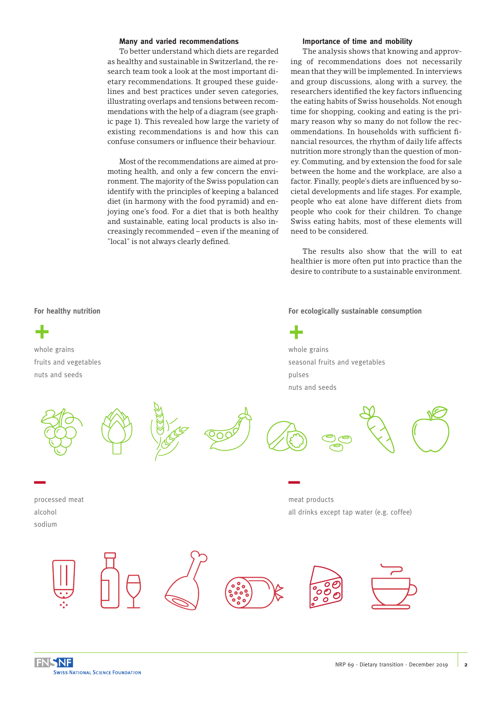#### **Many and varied recommendations**

To better understand which diets are regarded as healthy and sustainable in Switzerland, the research team took a look at the most important dietary recommendations. It grouped these guidelines and best practices under seven categories, illustrating overlaps and tensions between recommendations with the help of a diagram (see graphic page 1). This revealed how large the variety of existing recommendations is and how this can confuse consumers or influence their behaviour.

Most of the recommendations are aimed at promoting health, and only a few concern the environment. The majority of the Swiss population can identify with the principles of keeping a balanced diet (in harmony with the food pyramid) and enjoying one's food. For a diet that is both healthy and sustainable, eating local products is also increasingly recommended – even if the meaning of "local" is not always clearly defined.

#### **Importance of time and mobility**

The analysis shows that knowing and approving of recommendations does not necessarily mean that they will be implemented. In interviews and group discussions, along with a survey, the researchers identified the key factors influencing the eating habits of Swiss households. Not enough time for shopping, cooking and eating is the primary reason why so many do not follow the recommendations. In households with sufficient financial resources, the rhythm of daily life affects nutrition more strongly than the question of money. Commuting, and by extension the food for sale between the home and the workplace, are also a factor. Finally, people's diets are influenced by societal developments and life stages. For example, people who eat alone have different diets from people who cook for their children. To change Swiss eating habits, most of these elements will need to be considered.

The results also show that the will to eat healthier is more often put into practice than the desire to contribute to a sustainable environment.

#### **For ecologically sustainable consumption**





**For healthy nutrition**